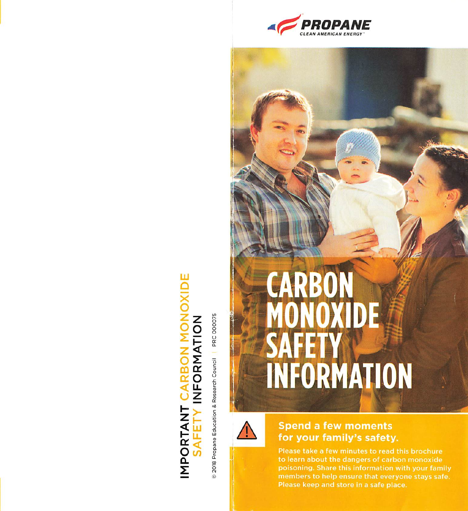

# **ADE** IMPORTANT CARBON MONO<br>SAFETY INFORMATION

8 2018 Propane Education & Research Council | PRC 000075



#### **Spend a few moments** for your family's safety.

INFORMATION

**CARBON<br>MONOXIDE** 

AE

Please take a few minutes to read this brochure to learn about the dangers of carbon monoxide poisoning. Share this information with your family members to help ensure that everyone stays safe. Please keep and store in a safe place.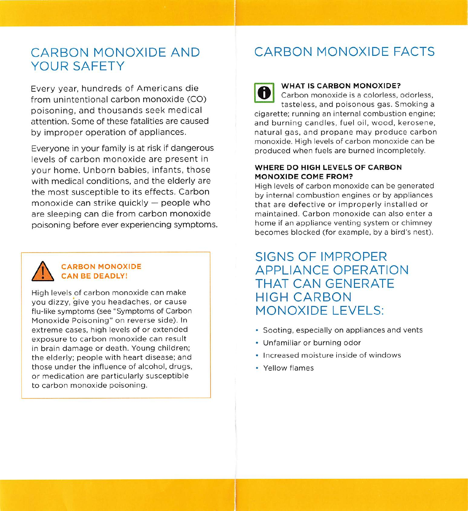## YOUR SAFETY

Every year, hundreds of Americans die from unintentional carbon monoxide (CO) poisoning, and thousands seek medical attention. Some of these fatalities are caused by improper operation of appliances.

Everyone in your family is at risk if dangerous levels of carbon monoxide are present in your home. Unborn babies, infants, those with medical conditions, and the elderly are the most susceptible to its effects. Carbon monoxide can strike quickly — people who are sleeping can die from carbon monoxide poisoning before ever experiencing symptoms.



#### CARBON MONOXIDE CAN BE DEADLY!

High levels of carbon monoxide can make you dizzy, give you headaches, or cause flu-like symptoms (see "Symptoms of Carbon Monoxide Poisoning'' on reverse side). In extreme cases, high levels of or extended exposure to carbon monoxide can result in brain damage or death. Young children; the elderly: people with heart disease; and those under the influence of alcohol, drugs, or medication are particularly susceptible to carbon monoxide poisoning.

### CARBON MONOXIDE AND CARBON MONOXIDE FACTS

O

I

#### WHAT IS CARBON MONOXIDE?

Carbon monoxide is a colorless, odorless, tasteless, and poisonous gas. Smoking a cigarette: running an internal combustion engine; and burning candles, fuel oil, wood, kerosene, natural gas, and propane may produce carbon monoxide. High levels of carbon monoxide can be produced when fuels are burned incompletely.

#### WHERE DO HIGH LEVELS OF CARBON MONOXIDE COME FROM?

High levels of carbon monoxide can be generated by internal combustion engines or by appliances that are defective or improperly installed or maintained. Carbon monoxide can also enter a home if an appliance venting system or chimney becomes blocked (for example, by a bird's nest).

SIGNS OF IMPROPER APPLIANCE OPERATION THAT CAN GENERATE HIGH CARBON MONOXIDE LEVELS:

- Sooting, especially on appliances and vents
- Unfamiliar or burning odor
- Increased moisture inside of windows
- Yellow flames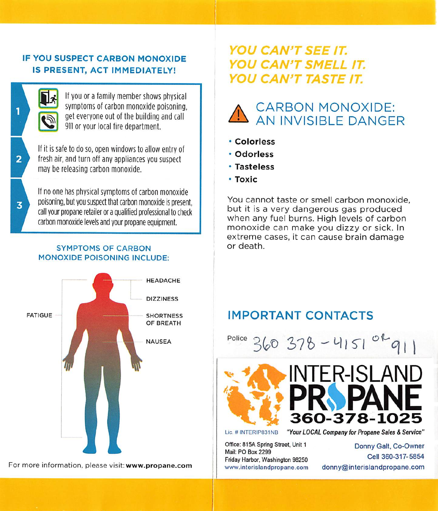#### IF YOU SUSPECT CARBON MONOXIDE IS PRESENT, ACT IMMEDIATELY!



If you or a family member shows physical symptoms of carbon monoxide poisoning,<br>get everyone out of the building and call everyone out of the building and call VIII or your local fire department.<br>  $\bullet$  Colorless

If it is safe to do so, open windows to allow entry of fresh air, and turn off any appliances you suspect may be releasing carbon monoxide.

 $\begin{array}{c}\n3 \\
7\n\end{array}$ If no one has physical symptoms of carbon monoxide poisoning, but you suspect that carbon monoxide is present, call your propane retailer or a qualified professional to check carbon monoxide levels and your propane equipment.

#### SYMPTOMS OF CARBON MONOXIDE POISONING INCLUDE:



For more information, please visit: www.propane.com

#### YOU CAN'T SEE IT. YOU CAN'T SMELL IT. YOU CAN'T TASTE IT.



- 
- Odorless
- Tasteless
- Toxic

You cannot taste or smell carbon monoxide. but it is a very dangerous gas produced when any fuel burns. High levels of carbon monoxide can make you dizzy or sick. In extreme cases, it can cause brain damage<br>or death

Police  $260278 - 41500$ NAUSEA POICE  $360378 - 4151$  $-11$ **WINTER-ISLAND** PROPANE 360-378-1025

Lie. #INTERIP831NB

Office: 815A Spring Street, Unit 1 Mail: PO Box 2299 Friday Harbor, Washington 98250

"Your LOCAL Company for Propane Sales & Service"

Donny Galt, Co-Owner Cell 360-317-5854 donny@interislandpropane.com

 $\overline{2}$ 

1